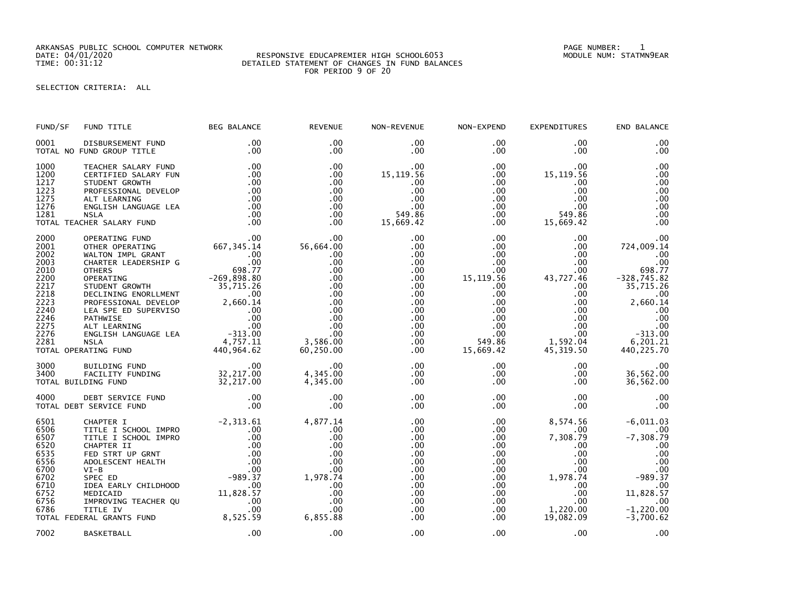ARKANSAS PUBLIC SCHOOL COMPUTER NETWORK PAGE NUMBER: 1

## DATE: 04/01/2020 RESPONSIVE EDUCAPREMIER HIGH SCHOOL6053 MODULE NUM: STATMN9EAR TIME: 00:31:12 DETAILED STATEMENT OF CHANGES IN FUND BALANCES FOR PERIOD 9 OF 20

SELECTION CRITERIA: ALL

| FUND/SF                                                                                                      | FUND TITLE                                                                                                                                                                                                                                                                                                                                                                                                    | <b>BEG BALANCE</b>                                                                                                                          | <b>REVENUE</b>                                                                                                                  | NON-REVENUE                                                                                                                                                          | NON-EXPEND                                                                                                                                                                     | <b>EXPENDITURES</b>                                                                                                                                                                        | END BALANCE                                                                                                                                             |
|--------------------------------------------------------------------------------------------------------------|---------------------------------------------------------------------------------------------------------------------------------------------------------------------------------------------------------------------------------------------------------------------------------------------------------------------------------------------------------------------------------------------------------------|---------------------------------------------------------------------------------------------------------------------------------------------|---------------------------------------------------------------------------------------------------------------------------------|----------------------------------------------------------------------------------------------------------------------------------------------------------------------|--------------------------------------------------------------------------------------------------------------------------------------------------------------------------------|--------------------------------------------------------------------------------------------------------------------------------------------------------------------------------------------|---------------------------------------------------------------------------------------------------------------------------------------------------------|
| 0001                                                                                                         | DISBURSEMENT FUND<br>TOTAL NO FUND GROUP TITLE                                                                                                                                                                                                                                                                                                                                                                | .00<br>.00                                                                                                                                  | .00<br>$.00 \,$                                                                                                                 | $.00 \,$<br>$.00 \,$                                                                                                                                                 | .00<br>$.00 \,$                                                                                                                                                                | .00<br>.00                                                                                                                                                                                 | .00<br>.00                                                                                                                                              |
| 1000<br>1200<br>1217<br>1223<br>1275<br>1276<br>1281                                                         | TEACHER SALARY FUND<br>CERTIFIED SALARY FUN<br>STUDENT GROWTH<br>PROFESSIONAL DEVELOP<br>ALT LEARNING<br>ENGLISH LANGUAGE LEA<br><b>NSLA</b><br>TOTAL TEACHER SALARY FUND                                                                                                                                                                                                                                     | .00<br>.00<br>.00<br>.00<br>.00<br>.00<br>.00<br>.00                                                                                        | .00<br>$.00 \times$<br>.00<br>.00<br>.00<br>.00<br>$.00 \,$<br>.00                                                              | $.00 \,$<br>15,119.56<br>.00<br>.00<br>.00<br>.00<br>549.86<br>15,669.42                                                                                             | $.00 \times$<br>.00<br>$.00 \,$<br>.00<br>$.00 \,$<br>.00 <sub>1</sub><br>$.00 \,$<br>$.00 \,$                                                                                 | .00<br>15, 119.56<br>.00<br>.00<br>.00.<br>.00<br>549.86<br>15,669.42                                                                                                                      | .00<br>.00<br>.00<br>.00<br>.00<br>.00<br>.00<br>.00                                                                                                    |
| 2000<br>2001<br>2002<br>2003<br>2010<br>2200<br>2217<br>2218<br>2223<br>2240<br>2246<br>2275<br>2276<br>2281 | OPERATING FUND<br>OTHER OPERATING<br>WALTON IMPL GRANT<br>CHARTER LEADERSHIP G<br><b>OTHERS</b><br>OPERATING<br>PERATING<br>STUDENT GROWTH<br>STUDENT GROWTH<br>PROFESSIONAL DEVELOP<br>PROFESSIONAL DEVELOP<br>PROFESSIONAL DEVELOP<br>LEA SPE ED SUPERVISO 00<br>PATHWISE 00<br>PATHWISE 00<br>ALT LEARNING 00<br>NSIA LANGUAGE LEA -313.00<br>NSIA<br>ALT STUDENT 4<br><b>NSLA</b><br>TOTAL OPERATING FUND | 00<br>667, 345.14<br>00.<br>098. 77<br>698.77<br>-269,898.80<br>4,757.11<br>440, 964.62                                                     | $.00 \times$<br>56,664.00<br>.00<br>.00<br>.00<br>.00<br>.00<br>.00<br>.00<br>.00<br>.00<br>.00<br>.00<br>3,586.00<br>60,250.00 | .00<br>$.00 \,$<br>$.00 \,$<br>$.00 \,$<br>$.00 \,$<br>$.00 \,$<br>$.00 \,$<br>.00<br>$.00 \,$<br>.00<br>$.00 \,$<br>.00 <sub>1</sub><br>.00<br>$.00 \,$<br>$.00 \,$ | $.00 \,$<br>$.00 \,$<br>$.00 \,$<br>$.00 \,$<br>$.00 \,$<br>15,119.56<br>$.00 \,$<br>.00<br>$.00 \,$<br>$.00 \cdot$<br>$.00 \,$<br>$.00 \,$<br>$.00 \,$<br>549.86<br>15,669.42 | .00.<br>$.00 \,$<br>$.00 \,$<br>$.00 \times$<br>$.00 \,$<br>43,727.46<br>$.00 \,$<br>$.00 \,$<br>$.00 \,$<br>$.00 \,$<br>$.00 \,$<br>.00 <sub>1</sub><br>$.00 \,$<br>1,592.04<br>45,319.50 | .00<br>724,009.14<br>.00<br>.00<br>698.77<br>$-328,745.82$<br>35,715.26<br>.00<br>2,660.14<br>.00<br>.00<br>.00<br>$-313.00$<br>6,201.21<br>440, 225.70 |
| 3000<br>3400                                                                                                 | BUILDING FUND<br>FACILITY FUNDING<br>TOTAL BUILDING FUND                                                                                                                                                                                                                                                                                                                                                      | $\frac{32}{32}, \frac{217}{217}.00$                                                                                                         | .00<br>4,345.00<br>4,345.00                                                                                                     | $.00 \,$<br>$.00 \,$<br>$.00 \,$                                                                                                                                     | $.00 \,$<br>$.00 \,$<br>$.00 \,$                                                                                                                                               | $.00 \cdot$<br>$.00 \,$<br>.00                                                                                                                                                             | .00<br>36,562.00<br>36,562.00                                                                                                                           |
| 4000                                                                                                         | DEBT SERVICE FUND<br>TOTAL DEBT SERVICE FUND                                                                                                                                                                                                                                                                                                                                                                  | .00<br>.00                                                                                                                                  | .00<br>.00                                                                                                                      | .00<br>.00                                                                                                                                                           | $.00 \,$<br>.00                                                                                                                                                                | $.00 \,$<br>$.00 \,$                                                                                                                                                                       | .00<br>.00                                                                                                                                              |
| 6501<br>6506<br>6507<br>6520<br>6535<br>6556<br>6700<br>6702<br>6710<br>6752<br>6756<br>6786                 | CHAPTER I<br>TITLE I SCHOOL IMPRO<br>TITLE I SCHOOL IMPRO<br>CHAPTER II<br>FED STRT UP GRNT<br>ADOLESCENT HEALTH<br>$VI-B$<br>SPEC ED<br>IDEA EARLY CHILDHOOD<br>MEDICAID<br>IMPROVING TEACHER QU<br>TITLE IV<br>TOTAL FEDERAL GRANTS FUND 8,525.59                                                                                                                                                           | $-2, 313.61$<br>$.00 \,$<br>.00<br>.00<br>$\begin{array}{c} .00\ .00\ .00\ .00\ .00\ .989.37 \end{array}$<br>.00<br>11,828.57<br>.00<br>.00 | 4,877.14<br>.00<br>.00<br>.00<br>.00<br>.00<br>.00<br>1,978.74<br>.00<br>.00<br>.00<br>.00<br>6,855.88                          | .00<br>.00<br>.00<br>.00<br>.00<br>.00<br>.00<br>.00<br>.00<br>$.00 \,$<br>$.00 \,$<br>$.00 \,$<br>.00                                                               | $.00 \,$<br>.00<br>$.00 \,$<br>$.00 \,$<br>$.00 \,$<br>$.00\,$<br>.00<br>$.00 \,$<br>$.00 \,$<br>$.00 \cdot$<br>.00<br>$.00 \,$<br>.00                                         | 8,574.56<br>.00<br>7,308.79<br>.00<br>$.00 \,$<br>$.00 \,$<br>$.00 \,$<br>1,978.74<br>.00<br>.00<br>$.00 \,$<br>1,220.00<br>19,082.09                                                      | $-6,011.03$<br>.00<br>$-7, 308.79$<br>.00<br>.00<br>.00<br>.00<br>$-989.37$<br>.00<br>11,828.57<br>.00<br>$-1,220.00$<br>$-3,700.62$                    |
| 7002                                                                                                         | <b>BASKETBALL</b>                                                                                                                                                                                                                                                                                                                                                                                             | .00                                                                                                                                         | .00                                                                                                                             | .00                                                                                                                                                                  | $.00 \,$                                                                                                                                                                       | .00                                                                                                                                                                                        | .00                                                                                                                                                     |